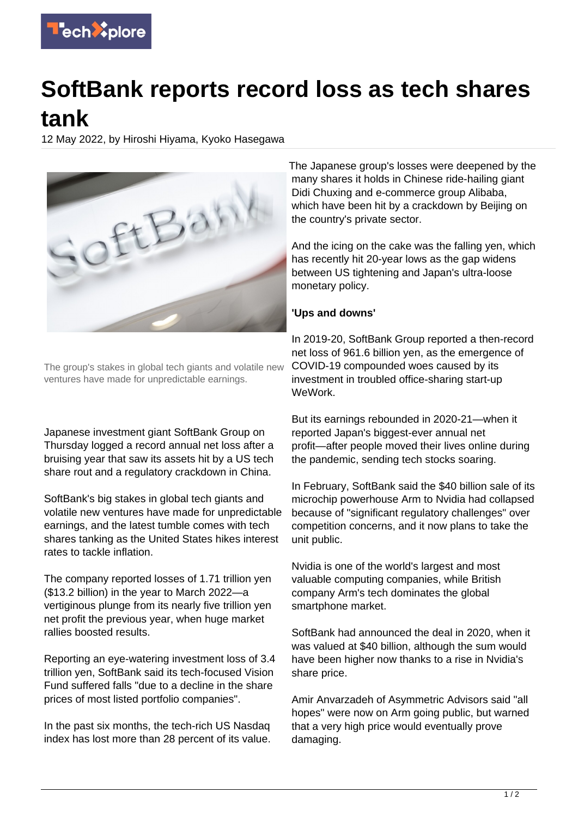

## **SoftBank reports record loss as tech shares tank**

12 May 2022, by Hiroshi Hiyama, Kyoko Hasegawa



The group's stakes in global tech giants and volatile new ventures have made for unpredictable earnings.

Japanese investment giant SoftBank Group on Thursday logged a record annual net loss after a bruising year that saw its assets hit by a US tech share rout and a regulatory crackdown in China.

SoftBank's big stakes in global tech giants and volatile new ventures have made for unpredictable earnings, and the latest tumble comes with tech shares tanking as the United States hikes interest rates to tackle inflation.

The company reported losses of 1.71 trillion yen (\$13.2 billion) in the year to March 2022—a vertiginous plunge from its nearly five trillion yen net profit the previous year, when huge market rallies boosted results.

Reporting an eye-watering investment loss of 3.4 trillion yen, SoftBank said its tech-focused Vision Fund suffered falls "due to a decline in the share prices of most listed portfolio companies".

In the past six months, the tech-rich US Nasdaq index has lost more than 28 percent of its value.

The Japanese group's losses were deepened by the many shares it holds in Chinese ride-hailing giant Didi Chuxing and e-commerce group Alibaba, which have been hit by a crackdown by Beijing on the country's private sector.

And the icing on the cake was the falling yen, which has recently hit 20-year lows as the gap widens between US tightening and Japan's ultra-loose monetary policy.

## **'Ups and downs'**

In 2019-20, SoftBank Group reported a then-record net loss of 961.6 billion yen, as the emergence of COVID-19 compounded woes caused by its investment in troubled office-sharing start-up WeWork.

But its earnings rebounded in 2020-21—when it reported Japan's biggest-ever annual net profit—after people moved their lives online during the pandemic, sending tech stocks soaring.

In February, SoftBank said the \$40 billion sale of its microchip powerhouse Arm to Nvidia had collapsed because of "significant regulatory challenges" over competition concerns, and it now plans to take the unit public.

Nvidia is one of the world's largest and most valuable computing companies, while British company Arm's tech dominates the global smartphone market.

SoftBank had announced the deal in 2020, when it was valued at \$40 billion, although the sum would have been higher now thanks to a rise in Nvidia's share price.

Amir Anvarzadeh of Asymmetric Advisors said "all hopes" were now on Arm going public, but warned that a very high price would eventually prove damaging.